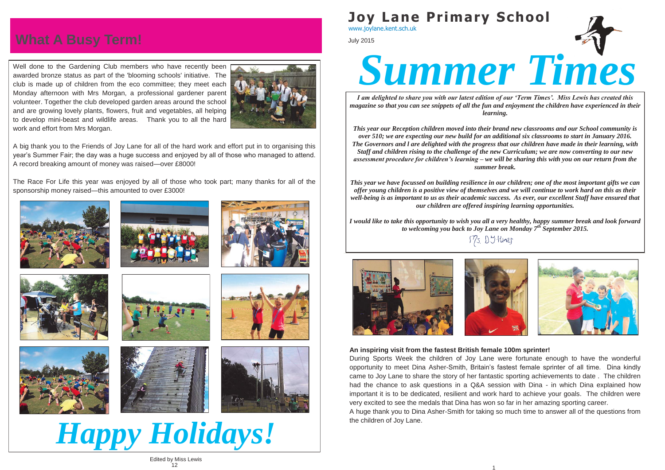*I am delighted to share you with our latest edition of our 'Term Times'. Miss Lewis has created this magazine so that you can see snippets of all the fun and enjoyment the children have experienced in their learning.*

*This year our Reception children moved into their brand new classrooms and our School community is over 510; we are expecting our new build for an additional six classrooms to start in January 2016. The Governors and l are delighted with the progress that our children have made in their learning, with Staff and children rising to the challenge of the new Curriculum; we are now converting to our new assessment procedure for children's learning – we will be sharing this with you on our return from the summer break.*

*I would like to take this opportunity to wish you all a very healthy, happy summer break and look forward to welcoming you back to Joy Lane on Monday 7th September 2015.* Ms Dytiner





*This year we have focussed on building resilience in our children; one of the most important gifts we can offer young children is a positive view of themselves and we will continue to work hard on this as their well-being is as important to us as their academic success. As ever, our excellent Staff have ensured that our children are offered inspiring learning opportunities.*

July 2015



Well done to the Gardening Club members who have recently been awarded bronze status as part of the 'blooming schools' initiative. The club is made up of children from the eco committee; they meet each Monday afternoon with Mrs Morgan, a professional gardener parent volunteer. Together the club developed garden areas around the school and are growing lovely plants, flowers, fruit and vegetables, all helping to develop mini-beast and wildlife areas. Thank you to all the hard work and effort from Mrs Morgan.



A big thank you to the Friends of Joy Lane for all of the hard work and effort put in to organising this year's Summer Fair; the day was a huge success and enjoyed by all of those who managed to attend. A record breaking amount of money was raised—over £8000!

The Race For Life this year was enjoyed by all of those who took part; many thanks for all of the sponsorship money raised—this amounted to over £3000!















*Happy Holidays!*

**An inspiring visit from the fastest British female 100m sprinter!** During Sports Week the children of Joy Lane were fortunate enough to have the wonderful opportunity to meet Dina Asher-Smith, Britain's fastest female sprinter of all time. Dina kindly came to Joy Lane to share the story of her fantastic sporting achievements to date . The children had the chance to ask questions in a Q&A session with Dina - in which Dina explained how important it is to be dedicated, resilient and work hard to achieve your goals. The children were very excited to see the medals that Dina has won so far in her amazing sporting career. A huge thank you to Dina Asher-Smith for taking so much time to answer all of the questions from the children of Joy Lane.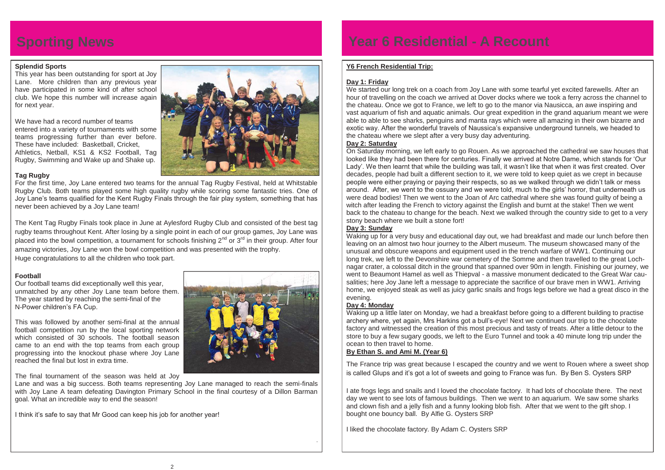# **Sporting News Year 6 Residential - A Recount**

# **Splendid Sports**

This year has been outstanding for sport at Joy Lane. More children than any previous year have participated in some kind of after school club. We hope this number will increase again for next year.

We have had a record number of teams entered into a variety of tournaments with some teams progressing further than ever before. These have included: Basketball, Cricket, Athletics, Netball, KS1 & KS2 Football, Tag Rugby, Swimming and Wake up and Shake up.



# **Tag Rugby**

For the first time, Joy Lane entered two teams for the annual Tag Rugby Festival, held at Whitstable Rugby Club. Both teams played some high quality rugby while scoring some fantastic tries. One of Joy Lane's teams qualified for the Kent Rugby Finals through the fair play system, something that has never been achieved by a Joy Lane team!

The Kent Tag Rugby Finals took place in June at Aylesford Rugby Club and consisted of the best tag rugby teams throughout Kent. After losing by a single point in each of our group games, Joy Lane was placed into the bowl competition, a tournament for schools finishing  $2^{nd}$  or  $3^{rd}$  in their group. After four amazing victories, Joy Lane won the bowl competition and was presented with the trophy. Huge congratulations to all the children who took part.

# **Football**

Our football teams did exceptionally well this year, unmatched by any other Joy Lane team before them. The year started by reaching the semi-final of the N-Power children's FA Cup.

We started our long trek on a coach from Joy Lane with some tearful yet excited farewells. After an hour of travelling on the coach we arrived at Dover docks where we took a ferry across the channel to the chateau. Once we got to France, we left to go to the manor via Nausicca, an awe inspiring and vast aquarium of fish and aquatic animals. Our great expedition in the grand aquarium meant we were able to able to see sharks, penguins and manta rays which were all amazing in their own bizarre and exotic way. After the wonderful travels of Naussica's expansive underground tunnels, we headed to the chateau where we slept after a very busy day adventuring. **Day 2: Saturday** 

This was followed by another semi-final at the annual football competition run by the local sporting network which consisted of 30 schools. The football season came to an end with the top teams from each group progressing into the knockout phase where Joy Lane reached the final but lost in extra time.



Lane and was a big success. Both teams representing Joy Lane managed to reach the semi-finals with Joy Lane A team defeating Davington Primary School in the final courtesy of a Dillon Barman goal. What an incredible way to end the season!

I think it's safe to say that Mr Good can keep his job for another year!



.

# **Y6 French Residential Trip:**

# **Day 1: Friday**

On Saturday morning, we left early to go Rouen. As we approached the cathedral we saw houses that looked like they had been there for centuries. Finally we arrived at Notre Dame, which stands for 'Our Lady'. We then learnt that while the building was tall, it wasn't like that when it was first created. Over decades, people had built a different section to it, we were told to keep quiet as we crept in because people were either praying or paying their respects, so as we walked through we didn't talk or mess around. After, we went to the ossuary and we were told, much to the girls' horror, that underneath us were dead bodies! Then we went to the Joan of Arc cathedral where she was found guilty of being a witch after leading the French to victory against the English and burnt at the stake! Then we went back to the chateau to change for the beach. Next we walked through the country side to get to a very stony beach where we built a stone fort!

# **Day 3: Sunday**

Waking up for a very busy and educational day out, we had breakfast and made our lunch before then leaving on an almost two hour journey to the Albert museum. The museum showcased many of the unusual and obscure weapons and equipment used in the trench warfare of WW1. Continuing our long trek, we left to the Devonshire war cemetery of the Somme and then travelled to the great Lochnagar crater, a colossal ditch in the ground that spanned over 90m in length. Finishing our journey, we went to Beaumont Hamel as well as Thiepval - a massive monument dedicated to the Great War causalities; here Joy Jane left a message to appreciate the sacrifice of our brave men in WW1. Arriving home, we enjoyed steak as well as juicy garlic snails and frogs legs before we had a great disco in the evening.

# **Day 4: Monday**

Waking up a little later on Monday, we had a breakfast before going to a different building to practise archery where, yet again, Mrs Harkins got a bull's-eye! Next we continued our trip to the chocolate factory and witnessed the creation of this most precious and tasty of treats. After a little detour to the store to buy a few sugary goods, we left to the Euro Tunnel and took a 40 minute long trip under the ocean to then travel to home.

# **By Ethan S. and Ami M. (Year 6)**

The France trip was great because I escaped the country and we went to Rouen where a sweet shop is called Glups and it's got a lot of sweets and going to France was fun. By Ben S. Oysters SRP

I ate frogs legs and snails and I loved the chocolate factory. It had lots of chocolate there. The next day we went to see lots of famous buildings. Then we went to an aquarium. We saw some sharks and clown fish and a jelly fish and a funny looking blob fish. After that we went to the gift shop. I bought one bouncy ball. By Alfie G. Oysters SRP

I liked the chocolate factory. By Adam C. Oysters SRP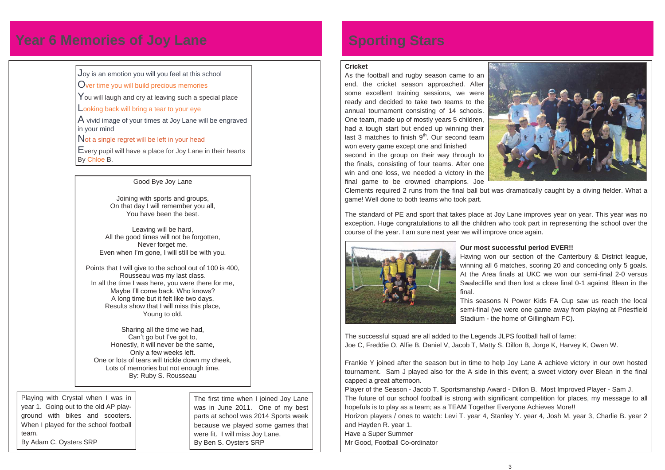#### **Cricket**

As the football and rugby season came to an end, the cricket season approached. After some excellent training sessions, we were ready and decided to take two teams to the annual tournament consisting of 14 schools. One team, made up of mostly years 5 children, had a tough start but ended up winning their last 3 matches to finish  $9<sup>th</sup>$ . Our second team won every game except one and finished

second in the group on their way through to the finals, consisting of four teams. After one win and one loss, we needed a victory in the final game to be crowned champions. Joe



Clements required 2 runs from the final ball but was dramatically caught by a diving fielder. What a game! Well done to both teams who took part.

The standard of PE and sport that takes place at Joy Lane improves year on year. This year was no exception. Huge congratulations to all the children who took part in representing the school over the course of the year. I am sure next year we will improve once again.



# **Our most successful period EVER!!**

Having won our section of the Canterbury & District league, winning all 6 matches, scoring 20 and conceding only 5 goals. At the Area finals at UKC we won our semi-final 2-0 versus Swalecliffe and then lost a close final 0-1 against Blean in the

final.

This seasons N Power Kids FA Cup saw us reach the local semi-final (we were one game away from playing at Priestfield Stadium - the home of Gillingham FC).

The successful squad are all added to the Legends JLPS football hall of fame: Joe C, Freddie O, Alfie B, Daniel V, Jacob T, Matty S, Dillon B, Jorge K, Harvey K, Owen W.

Frankie Y joined after the season but in time to help Joy Lane A achieve victory in our own hosted tournament. Sam J played also for the A side in this event; a sweet victory over Blean in the final capped a great afternoon.

Player of the Season - Jacob T. Sportsmanship Award - Dillon B. Most Improved Player - Sam J. The future of our school football is strong with significant competition for places, my message to all hopefuls is to play as a team; as a TEAM Together Everyone Achieves More!! Horizon players / ones to watch: Levi T. year 4, Stanley Y. year 4, Josh M. year 3, Charlie B. year 2 and Hayden R. year 1.

Have a Super Summer Mr Good, Football Co-ordinator



# **Year 6 Memories of Joy Lane <b>Sporting Stars**

Joy is an emotion you will you feel at this school

Over time you will build precious memories

You will laugh and cry at leaving such a special place

Looking back will bring a tear to your eye

A vivid image of your times at Joy Lane will be engraved in your mind

Not a single regret will be left in your head

Every pupil will have a place for Joy Lane in their hearts By Chloe B.

# Good Bye Joy Lane

Joining with sports and groups, On that day I will remember you all, You have been the best.

Leaving will be hard, All the good times will not be forgotten, Never forget me. Even when I'm gone, I will still be with you.

Points that I will give to the school out of 100 is 400, Rousseau was my last class. In all the time I was here, you were there for me, Maybe I'll come back. Who knows? A long time but it felt like two days, Results show that I will miss this place, Young to old.

Sharing all the time we had, Can't go but I've got to, Honestly, it will never be the same, Only a few weeks left. One or lots of tears will trickle down my cheek, Lots of memories but not enough time. By: Ruby S. Rousseau

> The first time when I joined Joy Lane was in June 2011. One of my best parts at school was 2014 Sports week because we played some games that were fit. I will miss Joy Lane. By Ben S. Oysters SRP

Playing with Crystal when I was in year 1. Going out to the old AP playground with bikes and scooters. When I played for the school football team. By Adam C. Oysters SRP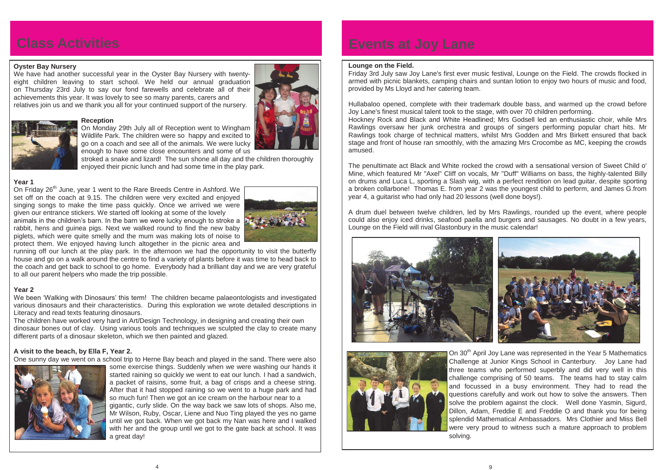### **Oyster Bay Nursery**

We have had another successful year in the Oyster Bay Nursery with twentyeight children leaving to start school. We held our annual graduation on Thursday 23rd July to say our fond farewells and celebrate all of their achievements this year. It was lovely to see so many parents, carers and relatives join us and we thank you all for your continued support of the nursery.



#### **Reception**

On Friday 26<sup>th</sup> June, year 1 went to the Rare Breeds Centre in Ashford. We set off on the coach at 9.15. The children were very excited and enjoyed singing songs to make the time pass quickly. Once we arrived we were given our entrance stickers. We started off looking at some of the lovely

On Monday 29th July all of Reception went to Wingham Wildlife Park. The children were so happy and excited to go on a coach and see all of the animals. We were lucky enough to have some close encounters and some of us

stroked a snake and lizard! The sun shone all day and the children thoroughly enjoyed their picnic lunch and had some time in the play park.

# **Year 1**

animals in the children's barn. In the barn we were lucky enough to stroke a rabbit, hens and guinea pigs. Next we walked round to find the new baby piglets, which were quite smelly and the mum was making lots of noise to protect them. We enjoyed having lunch altogether in the picnic area and



running off our lunch at the play park. In the afternoon we had the opportunity to visit the butterfly house and go on a walk around the centre to find a variety of plants before it was time to head back to the coach and get back to school to go home. Everybody had a brilliant day and we are very grateful to all our parent helpers who made the trip possible.

# **Year 2**

We been 'Walking with Dinosaurs' this term! The children became palaeontologists and investigated various dinosaurs and their characteristics. During this exploration we wrote detailed descriptions in Literacy and read texts featuring dinosaurs.

The children have worked very hard in Art/Design Technology, in designing and creating their own dinosaur bones out of clay. Using various tools and techniques we sculpted the clay to create many different parts of a dinosaur skeleton, which we then painted and glazed.

# **A visit to the beach, by Ella F, Year 2.**

One sunny day we went on a school trip to Herne Bay beach and played in the sand. There were also



On 30<sup>th</sup> April Joy Lane was represented in the Year 5 Mathematics Challenge at Junior Kings School in Canterbury. Joy Lane had three teams who performed superbly and did very well in this challenge comprising of 50 teams. The teams had to stay calm and focussed in a busy environment. They had to read the questions carefully and work out how to solve the answers. Then solve the problem against the clock. Well done Yasmin, Sigurd, Dillon, Adam, Freddie E and Freddie O and thank you for being splendid Mathematical Ambassadors. Mrs Clothier and Miss Bell were very proud to witness such a mature approach to problem

some exercise things. Suddenly when we were washing our hands it started raining so quickly we went to eat our lunch. I had a sandwich, a packet of raisins, some fruit, a bag of crisps and a cheese string. After that it had stopped raining so we went to a huge park and had so much fun! Then we got an ice cream on the harbour near to a gigantic, curly slide. On the way back we saw lots of shops. Also me, Mr Wilson, Ruby, Oscar, Liene and Nuo Ting played the yes no game until we got back. When we got back my Nan was here and I walked with her and the group until we got to the gate back at school. It was a great day!

# **Class Activities Events at Joy Lane**

### **Lounge on the Field.**

Friday 3rd July saw Joy Lane's first ever music festival, Lounge on the Field. The crowds flocked in armed with picnic blankets, camping chairs and suntan lotion to enjoy two hours of music and food, provided by Ms Lloyd and her catering team.

Hullabaloo opened, complete with their trademark double bass, and warmed up the crowd before Joy Lane's finest musical talent took to the stage, with over 70 children performing. Hockney Rock and Black and White Headlined; Mrs Godsell led an enthusiastic choir, while Mrs Rawlings oversaw her junk orchestra and groups of singers performing popular chart hits. Mr Rawlings took charge of technical matters, whilst Mrs Godden and Mrs Birkett ensured that back stage and front of house ran smoothly, with the amazing Mrs Crocombe as MC, keeping the crowds amused.

The penultimate act Black and White rocked the crowd with a sensational version of Sweet Child o' Mine, which featured Mr "Axel" Cliff on vocals, Mr "Duff" Williams on bass, the highly-talented Billy on drums and Luca L, sporting a Slash wig, with a perfect rendition on lead guitar, despite sporting a broken collarbone! Thomas E. from year 2 was the youngest child to perform, and James G.from year 4, a guitarist who had only had 20 lessons (well done boys!).

A drum duel between twelve children, led by Mrs Rawlings, rounded up the event, where people could also enjoy iced drinks, seafood paella and burgers and sausages. No doubt in a few years, Lounge on the Field will rival Glastonbury in the music calendar!



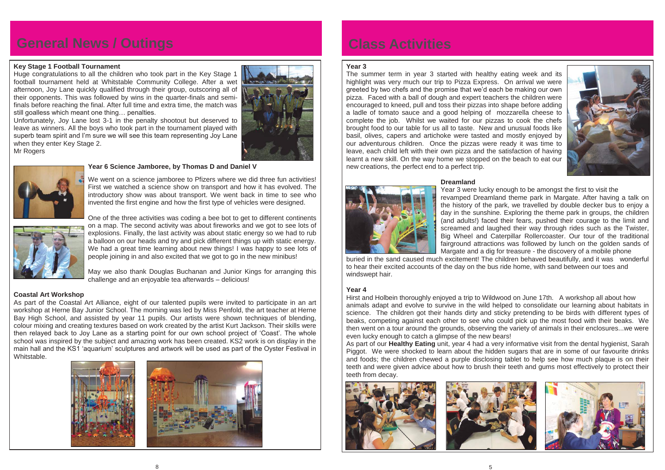# **General News / Outings The Class Activities**

### **Key Stage 1 Football Tournament**

Huge congratulations to all the children who took part in the Key Stage 1 football tournament held at Whitstable Community College. After a wet afternoon, Joy Lane quickly qualified through their group, outscoring all of their opponents. This was followed by wins in the quarter-finals and semifinals before reaching the final. After full time and extra time, the match was still goalless which meant one thing… penalties.

Unfortunately, Joy Lane lost 3-1 in the penalty shootout but deserved to leave as winners. All the boys who took part in the tournament played with superb team spirit and I'm sure we will see this team representing Joy Lane when they enter Key Stage 2. Mr Rogers





### **Year 6 Science Jamboree, by Thomas D and Daniel V**

We went on a science jamboree to Pfizers where we did three fun activities! First we watched a science show on transport and how it has evolved. The introductory show was about transport. We went back in time to see who invented the first engine and how the first type of vehicles were designed.



One of the three activities was coding a bee bot to get to different continents on a map. The second activity was about fireworks and we got to see lots of explosions. Finally, the last activity was about static energy so we had to rub a balloon on our heads and try and pick different things up with static energy. We had a great time learning about new things! I was happy to see lots of people joining in and also excited that we got to go in the new minibus!

May we also thank Douglas Buchanan and Junior Kings for arranging this challenge and an enjoyable tea afterwards – delicious!

# **Coastal Art Workshop**

As part of the Coastal Art Alliance, eight of our talented pupils were invited to participate in an art workshop at Herne Bay Junior School. The morning was led by Miss Penfold, the art teacher at Herne Bay High School, and assisted by year 11 pupils. Our artists were shown techniques of blending, colour mixing and creating textures based on work created by the artist Kurt Jackson. Their skills were then relayed back to Joy Lane as a starting point for our own school project of 'Coast'. The whole school was inspired by the subject and amazing work has been created. KS2 work is on display in the main hall and the KS1 'aquarium' sculptures and artwork will be used as part of the Oyster Festival in Whitstable.



### **Year 3**

The summer term in year 3 started with healthy eating week and its highlight was very much our trip to Pizza Express. On arrival we were greeted by two chefs and the promise that we'd each be making our own pizza. Faced with a ball of dough and expert teachers the children were encouraged to kneed, pull and toss their pizzas into shape before adding a ladle of tomato sauce and a good helping of mozzarella cheese to complete the job. Whilst we waited for our pizzas to cook the chefs brought food to our table for us all to taste. New and unusual foods like basil, olives, capers and artichoke were tasted and mostly enjoyed by our adventurous children. Once the pizzas were ready it was time to leave, each child left with their own pizza and the satisfaction of having learnt a new skill. On the way home we stopped on the beach to eat our new creations, the perfect end to a perfect trip.

### **Dreamland**



Year 3 were lucky enough to be amongst the first to visit the revamped Dreamland theme park in Margate. After having a talk on the history of the park, we travelled by double decker bus to enjoy a day in the sunshine. Exploring the theme park in groups, the children (and adults!) faced their fears, pushed their courage to the limit and

screamed and laughed their way through rides such as the Twister, Big Wheel and Caterpillar Rollercoaster. Our tour of the traditional fairground attractions was followed by lunch on the golden sands of Margate and a dig for treasure - the discovery of a mobile phone buried in the sand caused much excitement! The children behaved beautifully, and it was wonderful to hear their excited accounts of the day on the bus ride home, with sand between our toes and windswept hair.

### **Year 4**

Hirst and Holbein thoroughly enjoyed a trip to Wildwood on June 17th. A workshop all about how animals adapt and evolve to survive in the wild helped to consolidate our learning about habitats in science. The children got their hands dirty and sticky pretending to be birds with different types of beaks, competing against each other to see who could pick up the most food with their beaks. We then went on a tour around the grounds, observing the variety of animals in their enclosures...we were even lucky enough to catch a glimpse of the new bears! As part of our **Healthy Eating** unit, year 4 had a very informative visit from the dental hygienist, Sarah Piggot. We were shocked to learn about the hidden sugars that are in some of our favourite drinks and foods; the children chewed a purple disclosing tablet to help see how much plaque is on their teeth and were given advice about how to brush their teeth and gums most effectively to protect their teeth from decay.